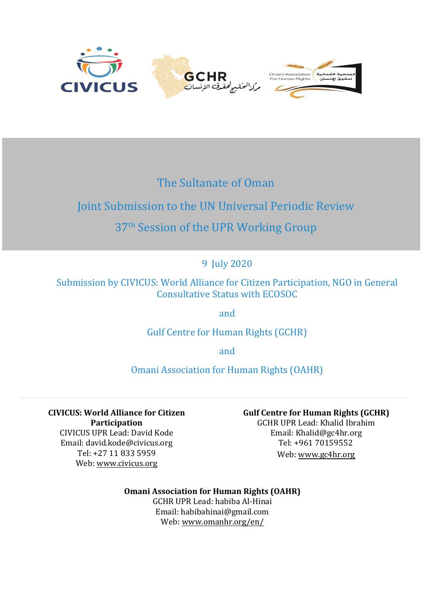

## The Sultanate of Oman

# Joint Submission to the UN Universal Periodic Review

## 37<sup>th</sup> Session of the UPR Working Group

9 July 2020

Submission by CIVICUS: World Alliance for Citizen Participation, NGO in General Consultative Status with ECOSOC

and

Gulf Centre for Human Rights (GCHR)

and

Omani Association for Human Rights (OAHR)

**CIVICUS: World Alliance for Citizen Participation** CIVICUS UPR Lead: David Kode Email: david.kode@civicus.org Tel: +27 11 833 5959 Web: [www.civicus.org](http://www.civicus.org)

**Gulf Centre for Human Rights (GCHR)**

GCHR UPR Lead: Khalid Ibrahim Email: [Khalid@gc4hr.org](mailto:Khalid@gc4hr.org) Tel: +961 70159552 Web: www.gc4hr.org

## **Omani Association for Human Rights (OAHR)**

GCHR UPR Lead: habiba Al-Hinai Email: habibahinai@gmail.com Web: [www.omanhr.org/en/](http://www.omanhr.org/en/)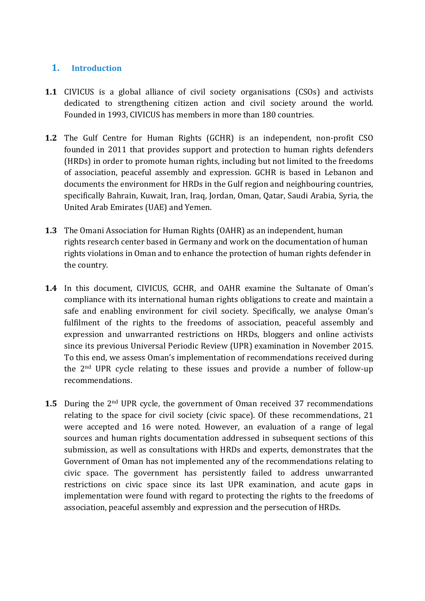### **1. Introduction**

- **1.1** CIVICUS is <sup>a</sup> global alliance of civil society organisations (CSOs) and activists dedicated to strengthening citizen action and civil society around the world. Founded in 1993, CIVICUS has members in more than 180 countries.
- **1.2** The Gulf Centre for Human Rights (GCHR) is an independent, non-profit CSO founded in 2011 that provides support and protection to human rights defenders (HRDs) in order to promote human rights, including but not limited to the freedoms of association, peaceful assembly and expression. GCHR is based in Lebanon and documents the environment for HRDs in the Gulf region and neighbouring countries, specifically Bahrain, Kuwait, Iran, Iraq, Jordan, Oman, Qatar, Saudi Arabia, Syria, the United Arab Emirates (UAE) and Yemen.
- **1.3** The Omani Association for Human Rights (OAHR) as an independent, human rights research center based in Germany and work on the documentation of human rights violations in Oman and to enhance the protection of human rights defender in the country.
- **1.4** In this document, CIVICUS, GCHR, and OAHR examine the Sultanate of Oman'<sup>s</sup> compliance with its international human rights obligations to create and maintain <sup>a</sup> safe and enabling environment for civil society. Specifically, we analyse Oman'<sup>s</sup> fulfilment of the rights to the freedoms of association, peaceful assembly and expression and unwarranted restrictions on HRDs, bloggers and online activists since its previous Universal Periodic Review (UPR) examination in November 2015. To this end, we assess Oman'<sup>s</sup> implementation of recommendations received during the 2nd UPR cycle relating to these issues and provide <sup>a</sup> number of follow-up recommendations.
- **1.5** During the 2<sup>nd</sup> UPR cycle, the government of Oman received 37 recommendations relating to the space for civil society (civic space). Of these recommendations, 21 were accepted and 16 were noted. However, an evaluation of <sup>a</sup> range of legal sources and human rights documentation addressed in subsequent sections of this submission, as well as consultations with HRDs and experts, demonstrates that the Government of Oman has not implemented any of the recommendations relating to civic space. The governmen<sup>t</sup> has persistently failed to address unwarranted restrictions on civic space since its last UPR examination, and acute gaps in implementation were found with regard to protecting the rights to the freedoms of association, peaceful assembly and expression and the persecution of HRDs.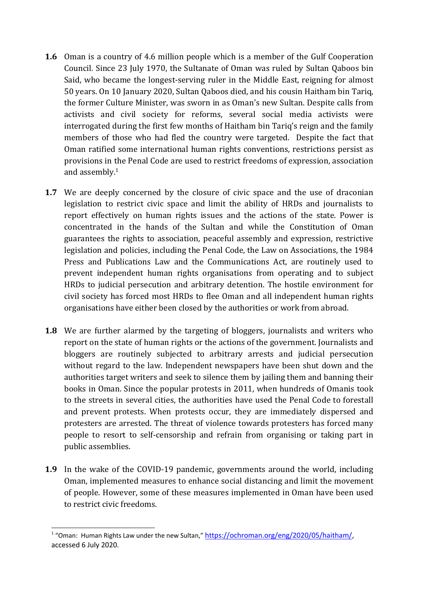- **1.6** Oman is <sup>a</sup> country of 4.6 million people which is <sup>a</sup> member of the Gulf Cooperation Council. Since 23 July 1970, the Sultanate of Oman was ruled by Sultan Qaboos bin Said, who became the longest-serving ruler in the Middle East, reigning for almost 50 years. On 10 January 2020, Sultan Qaboos died, and his cousin Haitham bin Tariq, the former Culture Minister, was sworn in as Oman's new Sultan. Despite calls from activists and civil society for reforms, several social media activists were interrogated during the first few months of Haitham bin Tariq'<sup>s</sup> reign and the family members of those who had fled the country were targeted. Despite the fact that Oman ratified some international human rights conventions, restrictions persist as provisions in the Penal Code are used to restrict freedoms of expression, association and assembly. $^{\rm 1}$
- **1.7** We are deeply concerned by the closure of civic space and the use of draconian legislation to restrict civic space and limit the ability of HRDs and journalists to report effectively on human rights issues and the actions of the state. Power is concentrated in the hands of the Sultan and while the Constitution of Oman guarantees the rights to association, peaceful assembly and expression, restrictive legislation and policies, including the Penal Code, the Law on Associations, the 1984 Press and Publications Law and the Communications Act, are routinely used to prevent independent human rights organisations from operating and to subject HRDs to judicial persecution and arbitrary detention. The hostile environment for civil society has forced most HRDs to flee Oman and all independent human rights organisations have either been closed by the authorities or work from abroad.
- **1.8** We are further alarmed by the targeting of bloggers, journalists and writers who report on the state of human rights or the actions of the government. Journalists and bloggers are routinely subjected to arbitrary arrests and judicial persecution without regard to the law. Independent newspapers have been shut down and the authorities target writers and seek to silence them by jailing them and banning their books in Oman. Since the popular protests in 2011, when hundreds of Omanis took to the streets in several cities, the authorities have used the Penal Code to forestall and prevent protests. When protests occur, they are immediately dispersed and protesters are arrested. The threat of violence towards protesters has forced many people to resort to self-censorship and refrain from organising or taking part in public assemblies.
- **1.9** In the wake of the COVID-19 pandemic, governments around the world, including Oman, implemented measures to enhance social distancing and limit the movement of people. However, some of these measures implemented in Oman have been used to restrict civic freedoms.

<sup>&</sup>lt;sup>1</sup> "Oman: Human Rights Law under the new Sultan," <https://ochroman.org/eng/2020/05/haitham/>, accessed 6 July 2020.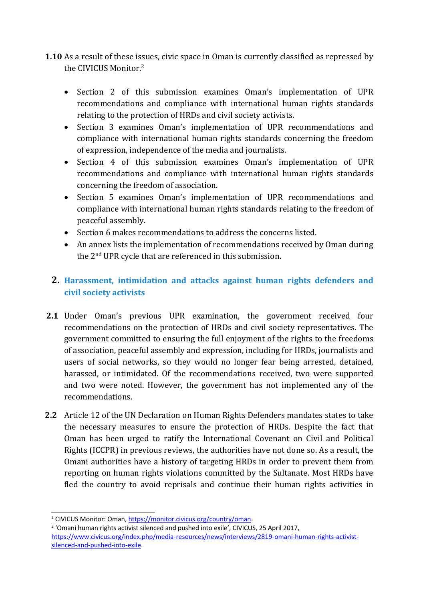- **1.10** As <sup>a</sup> result of these issues, civic space in Oman is currently classified as repressed by the CIVICUS Monitor. 2
	- Section 2 of this submission examines Oman's implementation of UPR recommendations and compliance with international human rights standards relating to the protection of HRDs and civil society activists.
	- Section 3 examines Oman'<sup>s</sup> implementation of UPR recommendations and compliance with international human rights standards concerning the freedom of expression, independence of the media and journalists.
	- Section 4 of this submission examines Oman's implementation of UPR recommendations and compliance with international human rights standards concerning the freedom of association.
	- Section 5 examines Oman's implementation of UPR recommendations and compliance with international human rights standards relating to the freedom of peaceful assembly.
	- Section 6 makes recommendations to address the concerns listed.
	- An annex lists the implementation of recommendations received by Oman during the 2<sup>nd</sup> UPR cycle that are referenced in this submission.

## **2. Harassment, intimidation and attacks against human rights defenders and civil society activists**

- **2.1** Under Oman'<sup>s</sup> previous UPR examination, the governmen<sup>t</sup> received four recommendations on the protection of HRDs and civil society representatives. The governmen<sup>t</sup> committed to ensuring the full enjoyment of the rights to the freedoms of association, peaceful assembly and expression, including for HRDs, journalists and users of social networks, so they would no longer fear being arrested, detained, harassed, or intimidated. Of the recommendations received, two were supported and two were noted. However, the governmen<sup>t</sup> has not implemented any of the recommendations.
- **2.2** Article 12 of the UN Declaration on Human Rights Defenders mandates states to take the necessary measures to ensure the protection of HRDs. Despite the fact that Oman has been urged to ratify the International Covenant on Civil and Political Rights (ICCPR) in previous reviews, the authorities have not done so. As <sup>a</sup> result, the Omani authorities have <sup>a</sup> history of targeting HRDs in order to prevent them from reporting on human rights violations committed by the Sultanate. Most HRDs have fled the country to avoid reprisals and continue their human rights activities in

<sup>3</sup> 'Omani human rights activist silenced and pushed into exile', CIVICUS, 25 April 2017, [https://www.civicus.org/index.php/media-resources/news/interviews/2819-omani-human-rights-activist](https://www.civicus.org/index.php/media-resources/news/interviews/2819-omani-human-rights-activist-silenced-and-pushed-into-exile)[silenced-and-pushed-into-exile](https://www.civicus.org/index.php/media-resources/news/interviews/2819-omani-human-rights-activist-silenced-and-pushed-into-exile).

<sup>&</sup>lt;sup>2</sup> CIVICUS Monitor: Oman, [https://monitor.civicus.org/country/oman](https://monitor.civicus.org/country/oman/).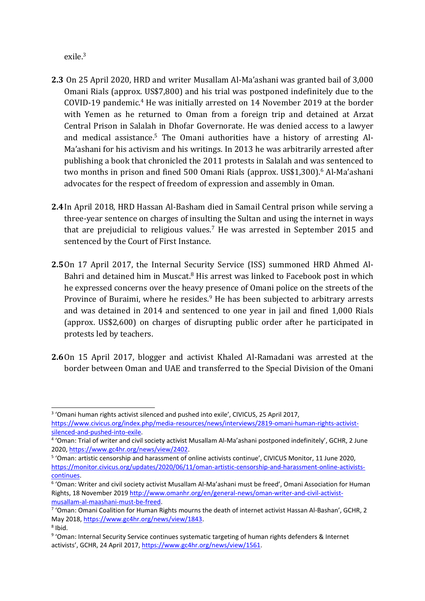exile.<sup>3</sup>

- **2.3** On 25 April 2020, HRD and writer Musallam Al-Ma'ashani was granted bail of 3,000 Omani Rials (approx. US\$7,800) and his trial was postponed indefinitely due to the COVID-19 pandemic. <sup>4</sup> He was initially arrested on <sup>14</sup> November <sup>2019</sup> at the border with Yemen as he returned to Oman from <sup>a</sup> foreign trip and detained at Arzat Central Prison in Salalah in Dhofar Governorate. He was denied access to <sup>a</sup> lawyer and medical assistance. 5 The Omani authorities have <sup>a</sup> history of arresting Al-Ma'ashani for his activism and his writings. In 2013 he was arbitrarily arrested after publishing <sup>a</sup> book that chronicled the 2011 protests in Salalah and was sentenced to two months in prison and fined 500 Omani Rials (approx. US\$1,300). 6 Al-Ma'ashani advocates for the respect of freedom of expression and assembly in Oman.
- **2.4**In April 2018, HRD Hassan Al-Basham died in Samail Central prison while serving <sup>a</sup> three-year sentence on charges of insulting the Sultan and using the internet in ways that are prejudicial to religious values.<sup>7</sup> He was arrested in September 2015 and sentenced by the Court of First Instance.
- **2.5**On 17 April 2017, the Internal Security Service (ISS) summoned HRD Ahmed Al-Bahri and detained him in Muscat.<sup>8</sup> His arrest was linked to Facebook post in which he expressed concerns over the heavy presence of Omani police on the streets of the Province of Buraimi, where he resides.<sup>9</sup> He has been subjected to arbitrary arrests and was detained in 2014 and sentenced to one year in jail and fined 1,000 Rials (approx. US\$2,600) on charges of disrupting public order after he participated in protests led by teachers.
- **2.6**On 15 April 2017, blogger and activist Khaled Al-Ramadani was arrested at the border between Oman and UAE and transferred to the Special Division of the Omani

<sup>&</sup>lt;sup>3</sup> 'Omani human rights activist silenced and pushed into exile', CIVICUS, 25 April 2017,

[https://www.civicus.org/index.php/media-resources/news/interviews/2819-omani-human-rights-activist](https://www.civicus.org/index.php/media-resources/news/interviews/2819-omani-human-rights-activist-silenced-and-pushed-into-exile)[silenced-and-pushed-into-exile](https://www.civicus.org/index.php/media-resources/news/interviews/2819-omani-human-rights-activist-silenced-and-pushed-into-exile).

<sup>4</sup> 'Oman: Trial of writer and civil society activist Musallam Al-Ma'ashani postponed indefinitely', GCHR, 2 June 2020, <https://www.gc4hr.org/news/view/2402>.

<sup>5</sup> 'Oman: artistic censorship and harassment of online activists continue', CIVICUS Monitor, 11 June 2020, [https://monitor.civicus.org/updates/2020/06/11/oman-artistic-censorship-and-harassment-online-activists](https://monitor.civicus.org/updates/2020/06/11/oman-artistic-censorship-and-harassment-online-activists-continues/)[continues](https://monitor.civicus.org/updates/2020/06/11/oman-artistic-censorship-and-harassment-online-activists-continues/).

<sup>6</sup> 'Oman: Writer and civil society activist Musallam Al-Ma'ashani must be freed', Omani Association for Human Rights, 18 November 2019 [http://www.omanhr.org/en/general-news/oman-writer-and-civil-activist](http://www.omanhr.org/en/general-news/oman-writer-and-civil-activist-musallam-al-maashani-must-be-freed/)[musallam-al-maashani-must-be-freed](http://www.omanhr.org/en/general-news/oman-writer-and-civil-activist-musallam-al-maashani-must-be-freed/).

<sup>7</sup> 'Oman: Omani Coalition for Human Rights mourns the death of internet activist Hassan Al-Bashan', GCHR, 2 May 2018, <https://www.gc4hr.org/news/view/1843>. 8 Ibid.

<sup>9</sup> 'Oman: Internal Security Service continues systematic targeting of human rights defenders & Internet activists', GCHR, 24 April 2017, [https://www.gc4hr.org/news/view/1561](https://www.gc4hr.org/news/view/1561/).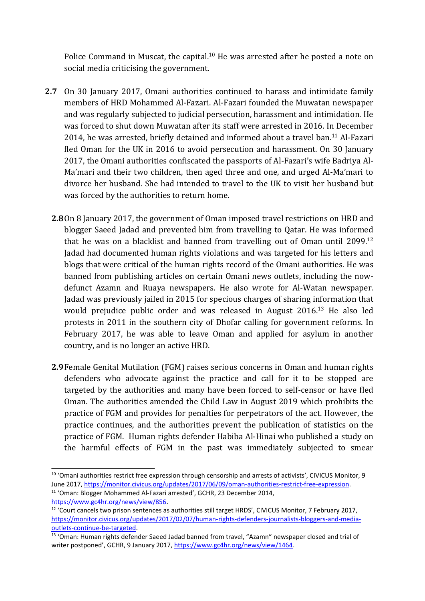Police Command in Muscat, the capital.<sup>10</sup> He was arrested after he posted a note on social media criticising the government.

- **2.7** On 30 January 2017, Omani authorities continued to harass and intimidate family members of HRD Mohammed Al-Fazari. Al-Fazari founded the Muwatan newspaper and was regularly subjected to judicial persecution, harassment and intimidation. He was forced to shut down Muwatan after its staff were arrested in 2016. In December 2014, he was arrested, briefly detained and informed about a travel ban.<sup>11</sup> Al-Fazari fled Oman for the UK in 2016 to avoid persecution and harassment. On 30 January 2017, the Omani authorities confiscated the passports of Al-Fazari'<sup>s</sup> wife Badriya Al-Ma'mari and their two children, then aged three and one, and urged Al-Ma'mari to divorce her husband. She had intended to travel to the UK to visit her husband but was forced by the authorities to return home.
	- **2.8**On 8 January 2017, the governmen<sup>t</sup> of Oman imposed travel restrictions on HRD and blogger Saeed Jadad and prevented him from travelling to Qatar. He was informed that he was on a blacklist and banned from travelling out of Oman until 2099.<sup>12</sup> Jadad had documented human rights violations and was targeted for his letters and blogs that were critical of the human rights record of the Omani authorities. He was banned from publishing articles on certain Omani news outlets, including the nowdefunct Azamn and Ruaya newspapers. He also wrote for Al-Watan newspaper. Jadad was previously jailed in 2015 for specious charges of sharing information that would prejudice public order and was released in August 2016. <sup>13</sup> He also led protests in 2011 in the southern city of Dhofar calling for governmen<sup>t</sup> reforms. In February 2017, he was able to leave Oman and applied for asylum in another country, and is no longer an active HRD.
	- **2.9**Female Genital Mutilation (FGM) raises serious concerns in Oman and human rights defenders who advocate against the practice and call for it to be stopped are targeted by the authorities and many have been forced to self-censor or have fled Oman. The authorities amended the Child Law in August 2019 which prohibits the practice of FGM and provides for penalties for perpetrators of the act. However, the practice continues, and the authorities prevent the publication of statistics on the practice of FGM. Human rights defender Habiba Al-Hinai who published <sup>a</sup> study on the harmful effects of FGM in the past was immediately subjected to smear

 $^{10}$  'Omani authorities restrict free expression through censorship and arrests of activists', CIVICUS Monitor, 9 June 2017, [https://monitor.civicus.org/updates/2017/06/09/oman-authorities-restrict-free-expression](https://monitor.civicus.org/updates/2017/06/09/oman-authorities-restrict-free-expression/).

<sup>&</sup>lt;sup>11</sup> 'Oman: Blogger Mohammed Al-Fazari arrested', GCHR, 23 December 2014, <https://www.gc4hr.org/news/view/856>.

 $12$  'Court cancels two prison sentences as authorities still target HRDS', CIVICUS Monitor, 7 February 2017, [https://monitor.civicus.org/updates/2017/02/07/human-rights-defenders-journalists-bloggers-and-media](https://monitor.civicus.org/updates/2017/02/07/human-rights-defenders-journalists-bloggers-and-media-outlets-continue-be-targeted/)[outlets-continue-be-targeted](https://monitor.civicus.org/updates/2017/02/07/human-rights-defenders-journalists-bloggers-and-media-outlets-continue-be-targeted/).

<sup>&</sup>lt;sup>13</sup> 'Oman: Human rights defender Saeed Jadad banned from travel, "Azamn" newspaper closed and trial of writer postponed', GCHR, 9 January 2017, <https://www.gc4hr.org/news/view/1464>.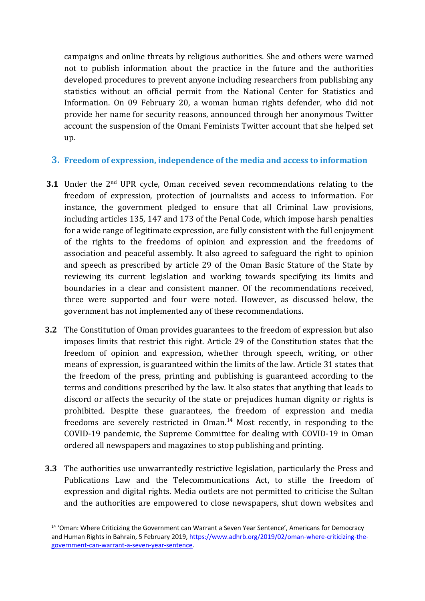campaigns and online threats by religious authorities. She and others were warned not to publish information about the practice in the future and the authorities developed procedures to prevent anyone including researchers from publishing any statistics without an official permit from the National Center for Statistics and Information. On 09 February 20, <sup>a</sup> woman human rights defender, who did not provide her name for security reasons, announced through her anonymous Twitter account the suspension of the Omani Feminists Twitter account that she helped set up.

#### **3. Freedom of expression, independence of the media and access to information**

- **3.1** Under the 2<sup>nd</sup> UPR cycle, Oman received seven recommendations relating to the freedom of expression, protection of journalists and access to information. For instance, the governmen<sup>t</sup> pledged to ensure that all Criminal Law provisions, including articles 135, 147 and 173 of the Penal Code, which impose harsh penalties for <sup>a</sup> wide range of legitimate expression, are fully consistent with the full enjoyment of the rights to the freedoms of opinion and expression and the freedoms of association and peaceful assembly. It also agreed to safeguard the right to opinion and speech as prescribed by article 29 of the Oman Basic Stature of the State by reviewing its current legislation and working towards specifying its limits and boundaries in <sup>a</sup> clear and consistent manner. Of the recommendations received, three were supported and four were noted. However, as discussed below, the governmen<sup>t</sup> has not implemented any of these recommendations.
- **3.2** The Constitution of Oman provides guarantees to the freedom of expression but also imposes limits that restrict this right. Article 29 of the Constitution states that the freedom of opinion and expression, whether through speech, writing, or other means of expression, is guaranteed within the limits of the law. Article 31 states that the freedom of the press, printing and publishing is guaranteed according to the terms and conditions prescribed by the law. It also states that anything that leads to discord or affects the security of the state or prejudices human dignity or rights is prohibited. Despite these guarantees, the freedom of expression and media freedoms are severely restricted in Oman. <sup>14</sup> Most recently, in responding to the COVID-19 pandemic, the Supreme Committee for dealing with COVID-19 in Oman ordered all newspapers and magazines to stop publishing and printing.
- **3.3** The authorities use unwarrantedly restrictive legislation, particularly the Press and Publications Law and the Telecommunications Act, to stifle the freedom of expression and digital rights. Media outlets are not permitted to criticise the Sultan and the authorities are empowered to close newspapers, shut down websites and

<sup>&</sup>lt;sup>14</sup> 'Oman: Where Criticizing the Government can Warrant a Seven Year Sentence', Americans for Democracy and Human Rights in Bahrain, 5 February 2019, [https://www.adhrb.org/2019/02/oman-where-criticizing-the](https://www.adhrb.org/2019/02/oman-where-criticizing-the-government-can-warrant-a-seven-year-sentence/)[government-can-warrant-a-seven-year-sentence](https://www.adhrb.org/2019/02/oman-where-criticizing-the-government-can-warrant-a-seven-year-sentence/).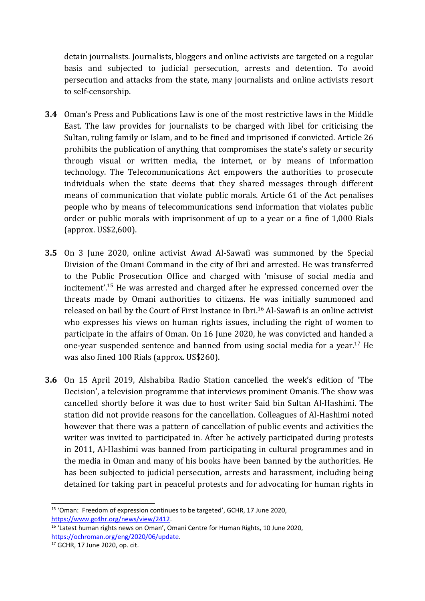detain journalists. Journalists, bloggers and online activists are targeted on <sup>a</sup> regular basis and subjected to judicial persecution, arrests and detention. To avoid persecution and attacks from the state, many journalists and online activists resort to self-censorship.

- **3.4** Oman'<sup>s</sup> Press and Publications Law is one of the most restrictive laws in the Middle East. The law provides for journalists to be charged with libel for criticising the Sultan, ruling family or Islam, and to be fined and imprisoned if convicted. Article 26 prohibits the publication of anything that compromises the state'<sup>s</sup> safety or security through visual or written media, the internet, or by means of information technology. The Telecommunications Act empowers the authorities to prosecute individuals when the state deems that they shared messages through different means of communication that violate public morals. Article 61 of the Act penalises people who by means of telecommunications send information that violates public order or public morals with imprisonment of up to <sup>a</sup> year or <sup>a</sup> fine of 1,000 Rials (approx. US\$2,600).
- **3.5** On 3 June 2020, online activist Awad Al-Sawafi was summoned by the Special Division of the Omani Command in the city of Ibri and arrested. He was transferred to the Public Prosecution Office and charged with 'misuse of social media and incitement'. <sup>15</sup> He was arrested and charged after he expressed concerned over the threats made by Omani authorities to citizens. He was initially summoned and released on bail by the Court of First Instance in Ibri. 16 Al-Sawafi is an online activist who expresses his views on human rights issues, including the right of women to participate in the affairs of Oman. On 16 June 2020, he was convicted and handed <sup>a</sup> one-year suspended sentence and banned from using social media for a year.<sup>17</sup> He was also fined 100 Rials (approx. US\$260).
- **3.6** On 15 April 2019, Alshabiba Radio Station cancelled the week'<sup>s</sup> edition of 'The Decision', <sup>a</sup> television programme that interviews prominent Omanis. The show was cancelled shortly before it was due to host writer Said bin Sultan Al-Hashimi. The station did not provide reasons for the cancellation. Colleagues of Al-Hashimi noted however that there was <sup>a</sup> pattern of cancellation of public events and activities the writer was invited to participated in. After he actively participated during protests in 2011, Al-Hashimi was banned from participating in cultural programmes and in the media in Oman and many of his books have been banned by the authorities. He has been subjected to judicial persecution, arrests and harassment, including being detained for taking part in peaceful protests and for advocating for human rights in

<sup>&</sup>lt;sup>15</sup> 'Oman: Freedom of expression continues to be targeted', GCHR, 17 June 2020, <https://www.gc4hr.org/news/view/2412>.

<sup>&</sup>lt;sup>16</sup> 'Latest human rights news on Oman', Omani Centre for Human Rights, 10 June 2020, [https://ochroman.org/eng/2020/06/update](https://ochroman.org/eng/2020/06/update/).

<sup>&</sup>lt;sup>17</sup> GCHR, 17 June 2020, op. cit.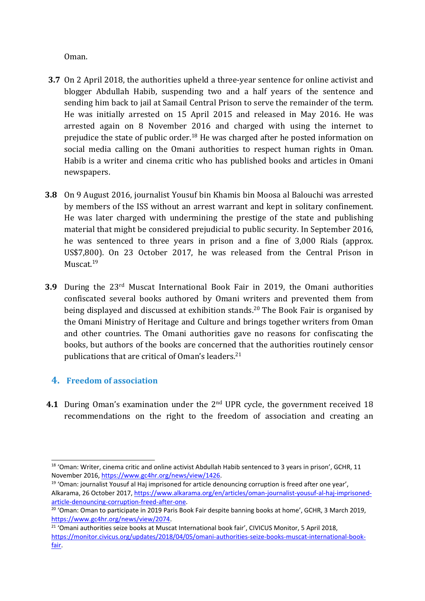Oman.

- **3.7** On 2 April 2018, the authorities upheld <sup>a</sup> three-year sentence for online activist and blogger Abdullah Habib, suspending two and <sup>a</sup> half years of the sentence and sending him back to jail at Samail Central Prison to serve the remainder of the term. He was initially arrested on 15 April 2015 and released in May 2016. He was arrested again on 8 November 2016 and charged with using the internet to prejudice the state of public order.<sup>18</sup> He was charged after he posted information on social media calling on the Omani authorities to respect human rights in Oman. Habib is <sup>a</sup> writer and cinema critic who has published books and articles in Omani newspapers.
- **3.8** On 9 August 2016, journalist Yousuf bin Khamis bin Moosa al Balouchi was arrested by members of the ISS without an arrest warrant and kept in solitary confinement. He was later charged with undermining the prestige of the state and publishing material that might be considered prejudicial to public security. In September 2016, he was sentenced to three years in prison and <sup>a</sup> fine of 3,000 Rials (approx. US\$7,800). On 23 October 2017, he was released from the Central Prison in Muscat.<sup>19</sup>
- **3.9** During the <sup>23</sup>rd Muscat International Book Fair in 2019, the Omani authorities confiscated several books authored by Omani writers and prevented them from being displayed and discussed at exhibition stands. 20 The Book Fair is organised by the Omani Ministry of Heritage and Culture and brings together writers from Oman and other countries. The Omani authorities gave no reasons for confiscating the books, but authors of the books are concerned that the authorities routinely censor publications that are critical of Oman'<sup>s</sup> leaders. 21

## **4. Freedom of association**

**4.1** During Oman's examination under the 2<sup>nd</sup> UPR cycle, the government received 18 recommendations on the right to the freedom of association and creating an

<sup>&</sup>lt;sup>18</sup> 'Oman: Writer, cinema critic and online activist Abdullah Habib sentenced to 3 years in prison', GCHR, 11 November 2016, <https://www.gc4hr.org/news/view/1426>.

<sup>19</sup> 'Oman: journalist Yousuf al Haj imprisoned for article denouncing corruption is freed after one year', Alkarama, 26 October 2017, [https://www.alkarama.org/en/articles/oman-journalist-yousuf-al-haj-imprisoned](https://www.alkarama.org/en/articles/oman-journalist-yousuf-al-haj-imprisoned-article-denouncing-corruption-freed-after-one)[article-denouncing-corruption-freed-after-one](https://www.alkarama.org/en/articles/oman-journalist-yousuf-al-haj-imprisoned-article-denouncing-corruption-freed-after-one).

 $^{20}$  'Oman: Oman to participate in 2019 Paris Book Fair despite banning books at home', GCHR, 3 March 2019, <https://www.gc4hr.org/news/view/2074>.

<sup>&</sup>lt;sup>21</sup> 'Omani authorities seize books at Muscat International book fair', CIVICUS Monitor, 5 April 2018, [https://monitor.civicus.org/updates/2018/04/05/omani-authorities-seize-books-muscat-international-book](https://monitor.civicus.org/updates/2018/04/05/omani-authorities-seize-books-muscat-international-book-fair/)[fair](https://monitor.civicus.org/updates/2018/04/05/omani-authorities-seize-books-muscat-international-book-fair/).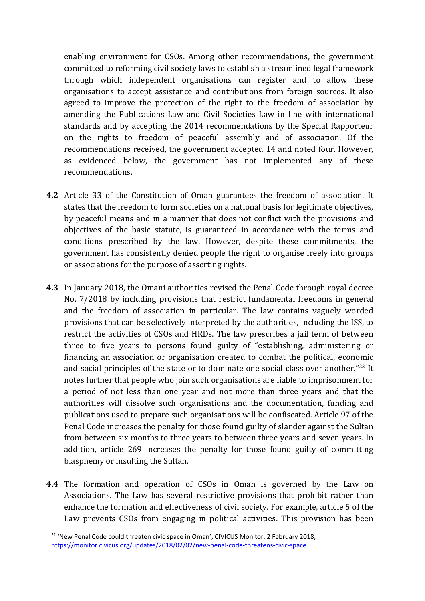enabling environment for CSOs. Among other recommendations, the governmen<sup>t</sup> committed to reforming civil society laws to establish <sup>a</sup> streamlined legal framework through which independent organisations can register and to allow these organisations to accept assistance and contributions from foreign sources. It also agreed to improve the protection of the right to the freedom of association by amending the Publications Law and Civil Societies Law in line with international standards and by accepting the 2014 recommendations by the Special Rapporteur on the rights to freedom of peaceful assembly and of association. Of the recommendations received, the governmen<sup>t</sup> accepted 14 and noted four. However, as evidenced below, the governmen<sup>t</sup> has not implemented any of these recommendations.

- **4.2** Article 33 of the Constitution of Oman guarantees the freedom of association. It states that the freedom to form societies on <sup>a</sup> national basis for legitimate objectives, by peaceful means and in <sup>a</sup> manner that does not conflict with the provisions and objectives of the basic statute, is guaranteed in accordance with the terms and conditions prescribed by the law. However, despite these commitments, the governmen<sup>t</sup> has consistently denied people the right to organise freely into groups or associations for the purpose of asserting rights.
- **4.3** In January 2018, the Omani authorities revised the Penal Code through royal decree No. 7/2018 by including provisions that restrict fundamental freedoms in general and the freedom of association in particular. The law contains vaguely worded provisions that can be selectively interpreted by the authorities, including the ISS, to restrict the activities of CSOs and HRDs. The law prescribes <sup>a</sup> jail term of between three to five years to persons found guilty of "establishing, administering or financing an association or organisation created to combat the political, economic and social principles of the state or to dominate one social class over another." $^{22}$  It notes further that people who join such organisations are liable to imprisonment for <sup>a</sup> period of not less than one year and not more than three years and that the authorities will dissolve such organisations and the documentation, funding and publications used to prepare such organisations will be confiscated. Article 97 of the Penal Code increases the penalty for those found guilty of slander against the Sultan from between six months to three years to between three years and seven years. In addition, article 269 increases the penalty for those found guilty of committing blasphemy or insulting the Sultan.
- **4.4** The formation and operation of CSOs in Oman is governed by the Law on Associations. The Law has several restrictive provisions that prohibit rather than enhance the formation and effectiveness of civil society. For example, article 5 of the Law prevents CSOs from engaging in political activities. This provision has been

<sup>&</sup>lt;sup>22</sup> 'New Penal Code could threaten civic space in Oman', CIVICUS Monitor, 2 February 2018, [https://monitor.civicus.org/updates/2018/02/02/new-penal-code-threatens-civic-space](https://monitor.civicus.org/updates/2018/02/02/new-penal-code-threatens-civic-space/).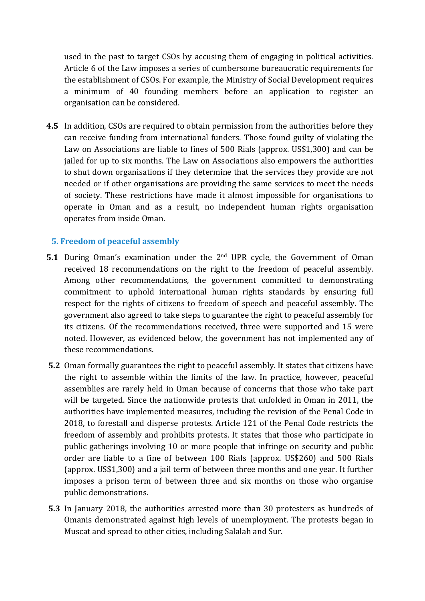used in the past to target CSOs by accusing them of engaging in political activities. Article 6 of the Law imposes <sup>a</sup> series of cumbersome bureaucratic requirements for the establishment of CSOs. For example, the Ministry of Social Development requires <sup>a</sup> minimum of 40 founding members before an application to register an organisation can be considered.

**4.5** In addition, CSOs are required to obtain permission from the authorities before they can receive funding from international funders. Those found guilty of violating the Law on Associations are liable to fines of 500 Rials (approx. US\$1,300) and can be jailed for up to six months. The Law on Associations also empowers the authorities to shut down organisations if they determine that the services they provide are not needed or if other organisations are providing the same services to meet the needs of society. These restrictions have made it almost impossible for organisations to operate in Oman and as <sup>a</sup> result, no independent human rights organisation operates from inside Oman.

#### **5. Freedom of peaceful assembly**

- **5.1** During Oman'<sup>s</sup> examination under the <sup>2</sup>nd UPR cycle, the Government of Oman received 18 recommendations on the right to the freedom of peaceful assembly. Among other recommendations, the governmen<sup>t</sup> committed to demonstrating commitment to uphold international human rights standards by ensuring full respect for the rights of citizens to freedom of speech and peaceful assembly. The governmen<sup>t</sup> also agreed to take steps to guarantee the right to peaceful assembly for its citizens. Of the recommendations received, three were supported and 15 were noted. However, as evidenced below, the governmen<sup>t</sup> has not implemented any of these recommendations.
- **5.2** Oman formally guarantees the right to peaceful assembly. It states that citizens have the right to assemble within the limits of the law. In practice, however, peaceful assemblies are rarely held in Oman because of concerns that those who take part will be targeted. Since the nationwide protests that unfolded in Oman in 2011, the authorities have implemented measures, including the revision of the Penal Code in 2018, to forestall and disperse protests. Article 121 of the Penal Code restricts the freedom of assembly and prohibits protests. It states that those who participate in public gatherings involving 10 or more people that infringe on security and public order are liable to <sup>a</sup> fine of between 100 Rials (approx. US\$260) and 500 Rials (approx. US\$1,300) and <sup>a</sup> jail term of between three months and one year. It further imposes <sup>a</sup> prison term of between three and six months on those who organise public demonstrations.
- **5.3** In January 2018, the authorities arrested more than 30 protesters as hundreds of Omanis demonstrated against high levels of unemployment. The protests began in Muscat and spread to other cities, including Salalah and Sur.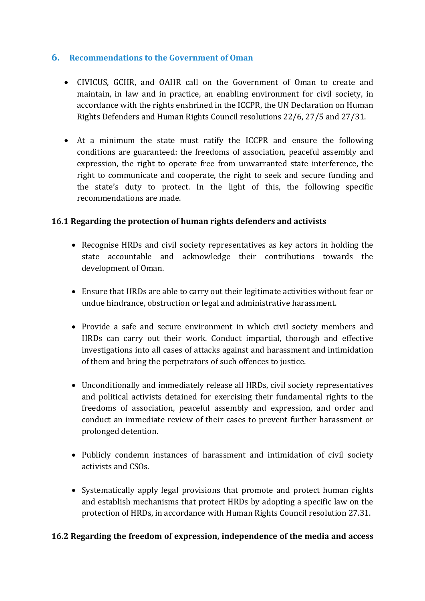#### **6. Recommendations to the Government of Oman**

- CIVICUS, GCHR, and OAHR call on the Government of Oman to create and maintain, in law and in practice, an enabling environment for civil society, in accordance with the rights enshrined in the ICCPR, the UN Declaration on Human Rights Defenders and Human Rights Council resolutions 22/6, 27/5 and 27/31.
- At <sup>a</sup> minimum the state must ratify the ICCPR and ensure the following conditions are guaranteed: the freedoms of association, peaceful assembly and expression, the right to operate free from unwarranted state interference, the right to communicate and cooperate, the right to seek and secure funding and the state'<sup>s</sup> duty to protect. In the light of this, the following specific recommendations are made.

#### **16.1 Regarding the protection of human rights defenders and activists**

- Recognise HRDs and civil society representatives as key actors in holding the state accountable and acknowledge their contributions towards the development of Oman.
- Ensure that HRDs are able to carry out their legitimate activities without fear or undue hindrance, obstruction or legal and administrative harassment.
- Provide a safe and secure environment in which civil society members and HRDs can carry out their work. Conduct impartial, thorough and effective investigations into all cases of attacks against and harassment and intimidation of them and bring the perpetrators of such offences to justice.
- Unconditionally and immediately release all HRDs, civil society representatives and political activists detained for exercising their fundamental rights to the freedoms of association, peaceful assembly and expression, and order and conduct an immediate review of their cases to prevent further harassment or prolonged detention.
- Publicly condemn instances of harassment and intimidation of civil society activists and CSOs.
- Systematically apply legal provisions that promote and protect human rights and establish mechanisms that protect HRDs by adopting <sup>a</sup> specific law on the protection of HRDs, in accordance with Human Rights Council resolution 27.31.

#### **16.2 Regarding the freedom of expression, independence of the media and access**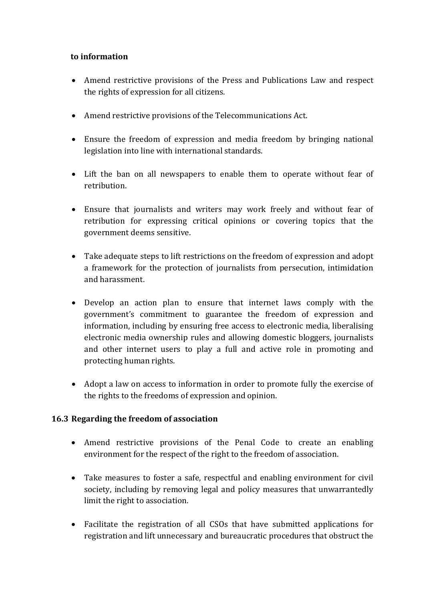#### **to information**

- Amend restrictive provisions of the Press and Publications Law and respect the rights of expression for all citizens.
- Amend restrictive provisions of the Telecommunications Act.
- Ensure the freedom of expression and media freedom by bringing national legislation into line with international standards.
- Lift the ban on all newspapers to enable them to operate without fear of retribution.
- Ensure that journalists and writers may work freely and without fear of retribution for expressing critical opinions or covering topics that the governmen<sup>t</sup> deems sensitive.
- Take adequate steps to lift restrictions on the freedom of expression and adopt <sup>a</sup> framework for the protection of journalists from persecution, intimidation and harassment.
- Develop an action plan to ensure that internet laws comply with the government'<sup>s</sup> commitment to guarantee the freedom of expression and information, including by ensuring free access to electronic media, liberalising electronic media ownership rules and allowing domestic bloggers, journalists and other internet users to play <sup>a</sup> full and active role in promoting and protecting human rights.
- Adopt <sup>a</sup> law on access to information in order to promote fully the exercise of the rights to the freedoms of expression and opinion.

#### **16.3 Regarding the freedom of association**

- Amend restrictive provisions of the Penal Code to create an enabling environment for the respect of the right to the freedom of association.
- Take measures to foster <sup>a</sup> safe, respectful and enabling environment for civil society, including by removing legal and policy measures that unwarrantedly limit the right to association.
- Facilitate the registration of all CSOs that have submitted applications for registration and lift unnecessary and bureaucratic procedures that obstruct the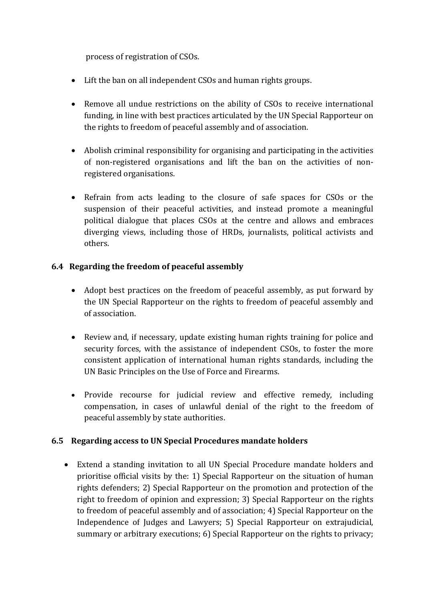process of registration of CSOs.

- Lift the ban on all independent CSOs and human rights groups.
- Remove all undue restrictions on the ability of CSOs to receive international funding, in line with best practices articulated by the UN Special Rapporteur on the rights to freedom of peaceful assembly and of association.
- Abolish criminal responsibility for organising and participating in the activities of non-registered organisations and lift the ban on the activities of nonregistered organisations.
- Refrain from acts leading to the closure of safe spaces for CSOs or the suspension of their peaceful activities, and instead promote <sup>a</sup> meaningful political dialogue that places CSOs at the centre and allows and embraces diverging views, including those of HRDs, journalists, political activists and others.

#### **6.4 Regarding the freedom of peaceful assembly**

- Adopt best practices on the freedom of peaceful assembly, as put forward by the UN Special Rapporteur on the rights to freedom of peaceful assembly and of association.
- Review and, if necessary, update existing human rights training for police and security forces, with the assistance of independent CSOs, to foster the more consistent application of international human rights standards, including the UN Basic Principles on the Use of Force and Firearms.
- Provide recourse for judicial review and effective remedy, including compensation, in cases of unlawful denial of the right to the freedom of peaceful assembly by state authorities.

#### **6.5 Regarding access to UN Special Procedures mandate holders**

 Extend <sup>a</sup> standing invitation to all UN Special Procedure mandate holders and prioritise official visits by the: 1) Special Rapporteur on the situation of human rights defenders; 2) Special Rapporteur on the promotion and protection of the right to freedom of opinion and expression; 3) Special Rapporteur on the rights to freedom of peaceful assembly and of association; 4) Special Rapporteur on the Independence of Judges and Lawyers; 5) Special Rapporteur on extrajudicial, summary or arbitrary executions; 6) Special Rapporteur on the rights to privacy;